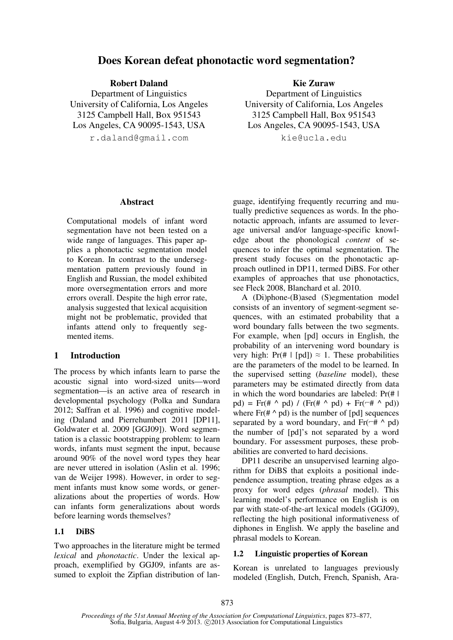# **Does Korean defeat phonotactic word segmentation?**

**Robert Daland**  Department of Linguistics University of California, Los Angeles 3125 Campbell Hall, Box 951543

Los Angeles, CA 90095-1543, USA

r.daland@gmail.com

**Kie Zuraw** 

Department of Linguistics University of California, Los Angeles 3125 Campbell Hall, Box 951543 Los Angeles, CA 90095-1543, USA

kie@ucla.edu

#### **Abstract**

Computational models of infant word segmentation have not been tested on a wide range of languages. This paper applies a phonotactic segmentation model to Korean. In contrast to the undersegmentation pattern previously found in English and Russian, the model exhibited more oversegmentation errors and more errors overall. Despite the high error rate, analysis suggested that lexical acquisition might not be problematic, provided that infants attend only to frequently segmented items.

#### **1 Introduction**

The process by which infants learn to parse the acoustic signal into word-sized units—word segmentation—is an active area of research in developmental psychology (Polka and Sundara 2012; Saffran et al. 1996) and cognitive modeling (Daland and Pierrehumbert 2011 [DP11], Goldwater et al. 2009 [GGJ09]). Word segmentation is a classic bootstrapping problem: to learn words, infants must segment the input, because around 90% of the novel word types they hear are never uttered in isolation (Aslin et al. 1996; van de Weijer 1998). However, in order to segment infants must know some words, or generalizations about the properties of words. How can infants form generalizations about words before learning words themselves?

#### **1.1 DiBS**

Two approaches in the literature might be termed *lexical* and *phonotactic*. Under the lexical approach, exemplified by GGJ09, infants are assumed to exploit the Zipfian distribution of language, identifying frequently recurring and mutually predictive sequences as words. In the phonotactic approach, infants are assumed to leverage universal and/or language-specific knowledge about the phonological *content* of sequences to infer the optimal segmentation. The present study focuses on the phonotactic approach outlined in DP11, termed DiBS. For other examples of approaches that use phonotactics, see Fleck 2008, Blanchard et al. 2010.

A (Di)phone-(B)ased (S)egmentation model consists of an inventory of segment-segment sequences, with an estimated probability that a word boundary falls between the two segments. For example, when [pd] occurs in English, the probability of an intervening word boundary is very high: Pr(#  $|$  [pd])  $\approx$  1. These probabilities are the parameters of the model to be learned. In the supervised setting (*baseline* model), these parameters may be estimated directly from data in which the word boundaries are labeled:  $Pr(H | I)$ pd) = Fr(# ^ pd) / (Fr(# ^ pd) + Fr( $\neg$ # ^ pd)) where  $Fr(\# \land pd)$  is the number of [pd] sequences separated by a word boundary, and  $Fr(\overline{^-} \# \wedge \text{pd})$ the number of [pd]'s not separated by a word boundary. For assessment purposes, these probabilities are converted to hard decisions.

DP11 describe an unsupervised learning algorithm for DiBS that exploits a positional independence assumption, treating phrase edges as a proxy for word edges (*phrasal* model). This learning model's performance on English is on par with state-of-the-art lexical models (GGJ09), reflecting the high positional informativeness of diphones in English. We apply the baseline and phrasal models to Korean.

#### **1.2 Linguistic properties of Korean**

Korean is unrelated to languages previously modeled (English, Dutch, French, Spanish, Ara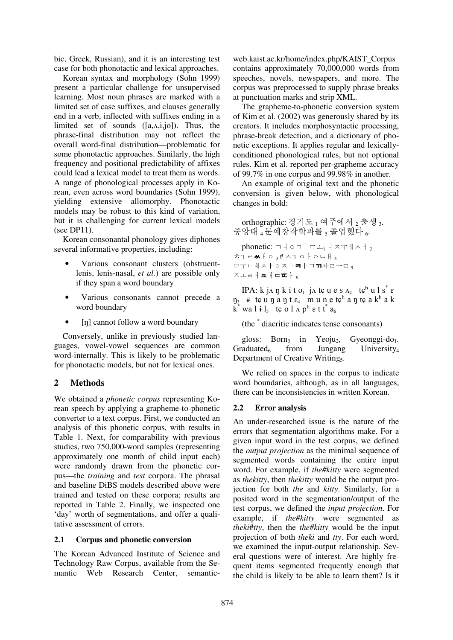bic, Greek, Russian), and it is an interesting test case for both phonotactic and lexical approaches.

Korean syntax and morphology (Sohn 1999) present a particular challenge for unsupervised learning. Most noun phrases are marked with a limited set of case suffixes, and clauses generally end in a verb, inflected with suffixes ending in a limited set of sounds ([a,ʌ,i,jo]). Thus, the phrase-final distribution may not reflect the overall word-final distribution—problematic for some phonotactic approaches. Similarly, the high frequency and positional predictability of affixes could lead a lexical model to treat them as words. A range of phonological processes apply in Korean, even across word boundaries (Sohn 1999), yielding extensive allomorphy. Phonotactic models may be robust to this kind of variation, but it is challenging for current lexical models (see DP11).

Korean consonantal phonology gives diphones several informative properties, including:

- Various consonant clusters (obstruentlenis, lenis-nasal, *et al.*) are possible only if they span a word boundary
- Various consonants cannot precede a word boundary
- [n] cannot follow a word boundary

Conversely, unlike in previously studied languages, vowel-vowel sequences are common word-internally. This is likely to be problematic for phonotactic models, but not for lexical ones.

## **2 Methods**

We obtained a *phonetic corpus* representing Korean speech by applying a grapheme-to-phonetic converter to a text corpus. First, we conducted an analysis of this phonetic corpus, with results in Table 1. Next, for comparability with previous studies, two 750,000-word samples (representing approximately one month of child input each) were randomly drawn from the phonetic corpus—the *training* and *test* corpora. The phrasal and baseline DiBS models described above were trained and tested on these corpora; results are reported in Table 2. Finally, we inspected one 'day' worth of segmentations, and offer a qualitative assessment of errors.

### **2.1 Corpus and phonetic conversion**

The Korean Advanced Institute of Science and Technology Raw Corpus, available from the Semantic Web Research Center, semantic-

web.kaist.ac.kr/home/index.php/KAIST\_Corpus contains approximately 70,000,000 words from speeches, novels, newspapers, and more. The corpus was preprocessed to supply phrase breaks at punctuation marks and strip XML.

The grapheme-to-phonetic conversion system of Kim et al. (2002) was generously shared by its creators. It includes morphosyntactic processing, phrase-break detection, and a dictionary of phonetic exceptions. It applies regular and lexicallyconditioned phonological rules, but not optional rules. Kim et al. reported per-grapheme accuracy of 99.7% in one corpus and 99.98% in another.

An example of original text and the phonetic conversion is given below, with phonological changes in bold:

orthographic: 경기도  $_1$  여주에서  $_2$  출생 3. 중앙대  $_4$ 문예창작학과를 , 졸업했다  $_6$ .

phonetic: ㄱㅕㅇㄱㅣㄷㅗ1 ㅕㅈㅜㅔㅅㅓ, ㅊㅜㄹㅆㅐㅇ <sup>3</sup> # ㅈㅜㅇㅏㅇㄷㅐ <sup>4</sup> ㅁㅜㄴᅨㅊㅏㅇㅈ **} ㅋ } ㄱㄲ**놔ㄹㅡㄹ <sub>5</sub> ㅈㅗㄹㅓㅍㅐㄷㄸㅏ <sup>6</sup>

IPA: k j $\Lambda$  ŋ k i t o<sub>1</sub> j $\Lambda$  t $\varphi$  u e s  $\Lambda_2$  t $\varphi^h$  u l s  $^*$  e  $\eta_3$  # tç u  $\eta$  a  $\eta$  t  $\varepsilon_4$  m u n e tç<sup>h</sup> a  $\eta$  tç a k<sup>h</sup> a k  $\mathbf{k}^*$  wa li $\mathbf{l}_5$  tçol $\mathbf{a}_6$  term  $\mathbf{a}_6$ 

(the \* diacritic indicates tense consonants)

gloss: Born<sub>3</sub> in Yeoju<sub>2</sub>, Gyeonggi-do<sub>1</sub>.<br>Graduated<sub>6</sub> from Jungang University<sub>4</sub> University<sub>4</sub> Department of Creative Writing<sub>5</sub>.

We relied on spaces in the corpus to indicate word boundaries, although, as in all languages, there can be inconsistencies in written Korean.

### **2.2 Error analysis**

An under-researched issue is the nature of the errors that segmentation algorithms make. For a given input word in the test corpus, we defined the *output projection* as the minimal sequence of segmented words containing the entire input word. For example, if *the#kitty* were segmented as *thekitty*, then *thekitty* would be the output projection for both *the* and *kitty*. Similarly, for a posited word in the segmentation/output of the test corpus, we defined the *input projection*. For example, if *the#kitty* were segmented as *theki*#*tty*, then the *the#kitty* would be the input projection of both *theki* and *tty*. For each word, we examined the input-output relationship. Several questions were of interest. Are highly frequent items segmented frequently enough that the child is likely to be able to learn them? Is it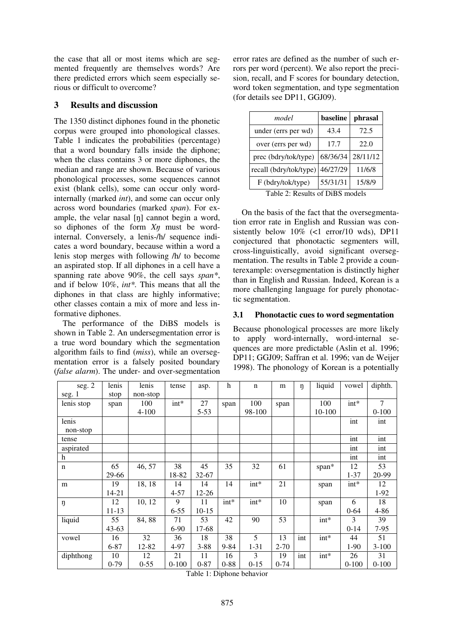the case that all or most items which are segmented frequently are themselves words? Are there predicted errors which seem especially serious or difficult to overcome?

## **3 Results and discussion**

The 1350 distinct diphones found in the phonetic corpus were grouped into phonological classes. Table 1 indicates the probabilities (percentage) that a word boundary falls inside the diphone; when the class contains 3 or more diphones, the median and range are shown. Because of various phonological processes, some sequences cannot exist (blank cells), some can occur only wordinternally (marked *int*), and some can occur only across word boundaries (marked *span*). For example, the velar nasal [ŋ] cannot begin a word, so diphones of the form *X*ŋ must be wordinternal. Conversely, a lenis-/h/ sequence indicates a word boundary, because within a word a lenis stop merges with following /h/ to become an aspirated stop. If all diphones in a cell have a spanning rate above 90%, the cell says *span\**, and if below 10%, *int\*.* This means that all the diphones in that class are highly informative; other classes contain a mix of more and less informative diphones.

The performance of the DiBS models is shown in Table 2. An undersegmentation error is a true word boundary which the segmentation algorithm fails to find (*miss*), while an oversegmentation error is a falsely posited boundary (*false alarm*). The under- and over-segmentation error rates are defined as the number of such errors per word (percent). We also report the precision, recall, and F scores for boundary detection, word token segmentation, and type segmentation (for details see DP11, GGJ09).

| model                  | baseline | phrasal  |
|------------------------|----------|----------|
| under (errs per wd)    | 43.4     | 72.5     |
| over (errs per wd)     | 17.7     | 22.0     |
| prec (bdry/tok/type)   | 68/36/34 | 28/11/12 |
| recall (bdry/tok/type) | 46/27/29 | 11/6/8   |
| F (bdry/tok/type)      | 55/31/31 | 15/8/9   |

Table 2: Results of DiBS models

On the basis of the fact that the oversegmentation error rate in English and Russian was consistently below  $10\%$  (<1 error/10 wds), DP11 conjectured that phonotactic segmenters will, cross-linguistically, avoid significant oversegmentation. The results in Table 2 provide a counterexample: oversegmentation is distinctly higher than in English and Russian. Indeed, Korean is a more challenging language for purely phonotactic segmentation.

## **3.1 Phonotactic cues to word segmentation**

Because phonological processes are more likely to apply word-internally, word-internal sequences are more predictable (Aslin et al. 1996; DP11; GGJ09; Saffran et al. 1996; van de Weijer 1998). The phonology of Korean is a potentially

| seg. 2      | lenis     | lenis     | tense     | asp.      | h        | $\mathbf n$ | m        | ŋ   | liquid  | vowel     | diphth.        |
|-------------|-----------|-----------|-----------|-----------|----------|-------------|----------|-----|---------|-----------|----------------|
| seg. 1      | stop      | non-stop  |           |           |          |             |          |     |         |           |                |
| lenis stop  | span      | 100       | $int*$    | 27        | span     | 100         | span     |     | 100     | $int^*$   | $\overline{7}$ |
|             |           | $4 - 100$ |           | $5 - 53$  |          | 98-100      |          |     | 10-100  |           | $0 - 100$      |
| lenis       |           |           |           |           |          |             |          |     |         | int       | int            |
| non-stop    |           |           |           |           |          |             |          |     |         |           |                |
| tense       |           |           |           |           |          |             |          |     |         | int       | int            |
| aspirated   |           |           |           |           |          |             |          |     |         | int       | int            |
| h           |           |           |           |           |          |             |          |     |         | int       | int            |
| $\mathbf n$ | 65        | 46, 57    | 38        | 45        | 35       | 32          | 61       |     | span*   | 12        | 53             |
|             | 29-66     |           | 18-82     | $32 - 67$ |          |             |          |     |         | $1 - 37$  | 20-99          |
| m           | 19        | 18, 18    | 14        | 14        | 14       | $int*$      | 21       |     | span    | $int*$    | 12             |
|             | $14 - 21$ |           | $4 - 57$  | $12 - 26$ |          |             |          |     |         |           | $1-92$         |
| ŋ           | 12        | 10, 12    | 9         | 11        | $int*$   | $int*$      | 10       |     | span    | 6         | 18             |
|             | $11 - 13$ |           | $6 - 55$  | $10-15$   |          |             |          |     |         | $0 - 64$  | 4-86           |
| liquid      | 55        | 84,88     | 71        | 53        | 42       | 90          | 53       |     | $int*$  | 3         | 39             |
|             | $43 - 63$ |           | $6-90$    | 17-68     |          |             |          |     |         | $0-14$    | $7 - 95$       |
| vowel       | 16        | 32        | 36        | 18        | 38       | 5           | 13       | int | $int^*$ | 44        | 51             |
|             | $6 - 87$  | 12-82     | 4-97      | $3 - 88$  | $9 - 84$ | $1 - 31$    | $2 - 70$ |     |         | $1-90$    | $3-100$        |
| diphthong   | 10        | 12        | 21        | 11        | 16       | 3           | 19       | int | $int^*$ | 26        | 31             |
|             | $0-79$    | $0 - 55$  | $0 - 100$ | $0 - 87$  | $0 - 88$ | $0-15$      | $0 - 74$ |     |         | $0 - 100$ | $0 - 100$      |

Table 1: Diphone behavior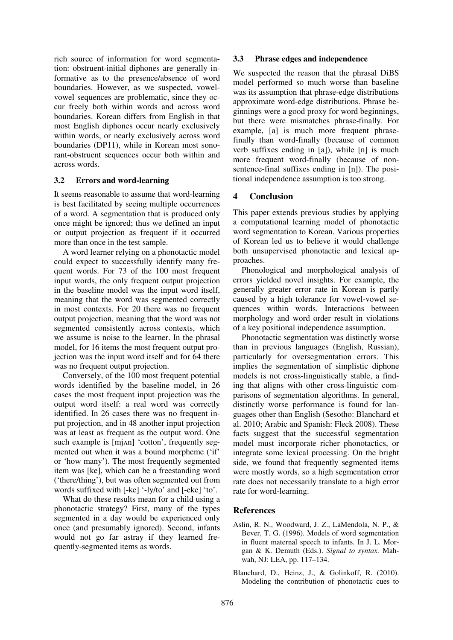rich source of information for word segmentation: obstruent-initial diphones are generally informative as to the presence/absence of word boundaries. However, as we suspected, vowelvowel sequences are problematic, since they occur freely both within words and across word boundaries. Korean differs from English in that most English diphones occur nearly exclusively within words, or nearly exclusively across word boundaries (DP11), while in Korean most sonorant-obstruent sequences occur both within and across words.

#### **3.2 Errors and word-learning**

It seems reasonable to assume that word-learning is best facilitated by seeing multiple occurrences of a word. A segmentation that is produced only once might be ignored; thus we defined an input or output projection as frequent if it occurred more than once in the test sample.

A word learner relying on a phonotactic model could expect to successfully identify many frequent words. For 73 of the 100 most frequent input words, the only frequent output projection in the baseline model was the input word itself, meaning that the word was segmented correctly in most contexts. For 20 there was no frequent output projection, meaning that the word was not segmented consistently across contexts, which we assume is noise to the learner. In the phrasal model, for 16 items the most frequent output projection was the input word itself and for 64 there was no frequent output projection.

Conversely, of the 100 most frequent potential words identified by the baseline model, in 26 cases the most frequent input projection was the output word itself: a real word was correctly identified. In 26 cases there was no frequent input projection, and in 48 another input projection was at least as frequent as the output word. One such example is [mj $\alpha$ n] 'cotton', frequently segmented out when it was a bound morpheme ('if' or 'how many'). The most frequently segmented item was [ke], which can be a freestanding word ('there/thing'), but was often segmented out from words suffixed with [-ke] '-ly/to' and [-eke] 'to'.

What do these results mean for a child using a phonotactic strategy? First, many of the types segmented in a day would be experienced only once (and presumably ignored). Second, infants would not go far astray if they learned frequently-segmented items as words.

#### **3.3 Phrase edges and independence**

We suspected the reason that the phrasal DiBS model performed so much worse than baseline was its assumption that phrase-edge distributions approximate word-edge distributions. Phrase beginnings were a good proxy for word beginnings, but there were mismatches phrase-finally. For example, [a] is much more frequent phrasefinally than word-finally (because of common verb suffixes ending in [a]), while [n] is much more frequent word-finally (because of nonsentence-final suffixes ending in [n]). The positional independence assumption is too strong.

### **4 Conclusion**

This paper extends previous studies by applying a computational learning model of phonotactic word segmentation to Korean. Various properties of Korean led us to believe it would challenge both unsupervised phonotactic and lexical approaches.

Phonological and morphological analysis of errors yielded novel insights. For example, the generally greater error rate in Korean is partly caused by a high tolerance for vowel-vowel sequences within words. Interactions between morphology and word order result in violations of a key positional independence assumption.

Phonotactic segmentation was distinctly worse than in previous languages (English, Russian), particularly for oversegmentation errors. This implies the segmentation of simplistic diphone models is not cross-linguistically stable, a finding that aligns with other cross-linguistic comparisons of segmentation algorithms. In general, distinctly worse performance is found for languages other than English (Sesotho: Blanchard et al. 2010; Arabic and Spanish: Fleck 2008). These facts suggest that the successful segmentation model must incorporate richer phonotactics, or integrate some lexical processing. On the bright side, we found that frequently segmented items were mostly words, so a high segmentation error rate does not necessarily translate to a high error rate for word-learning.

### **References**

- Aslin, R. N., Woodward, J. Z., LaMendola, N. P., & Bever, T. G. (1996). Models of word segmentation in fluent maternal speech to infants. In J. L. Morgan & K. Demuth (Eds.). *Signal to syntax.* Mahwah, NJ: LEA, pp. 117–134.
- Blanchard, D., Heinz, J., & Golinkoff, R. (2010). Modeling the contribution of phonotactic cues to